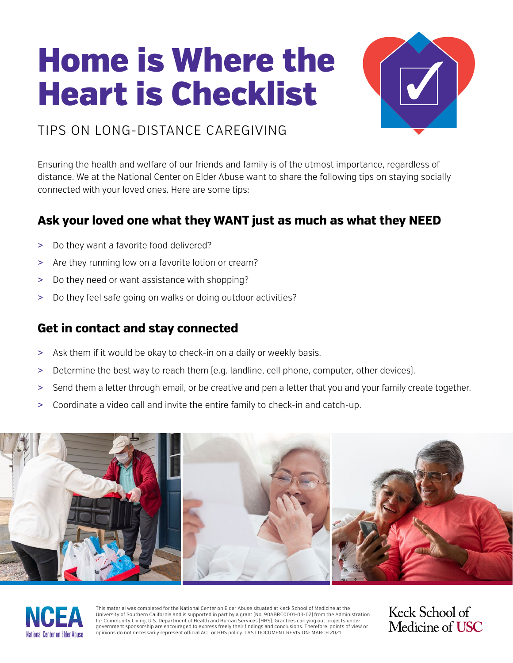# Home is Where the Heart is Checklist



### TIPS ON LONG-DISTANCE CAREGIVING

Ensuring the health and welfare of our friends and family is of the utmost importance, regardless of distance. We at the National Center on Elder Abuse want to share the following tips on staying socially connected with your loved ones. Here are some tips:

#### **Ask your loved one what they WANT just as much as what they NEED**

- > Do they want a favorite food delivered?
- > Are they running low on a favorite lotion or cream?
- > Do they need or want assistance with shopping?
- > Do they feel safe going on walks or doing outdoor activities?

#### **Get in contact and stay connected**

- > Ask them if it would be okay to check-in on a daily or weekly basis.
- > Determine the best way to reach them (e.g. landline, cell phone, computer, other devices).
- > Send them a letter through email, or be creative and pen a letter that you and your family create together.
- > Coordinate a video call and invite the entire family to check-in and catch-up.





This material was completed for the National Center on Elder Abuse situated at Keck School of Medicine at the University of Southern California and is supported in part by a grant (No. 90ABRC0001-03-02) from the Administration for Community Living, U.S. Department of Health and Human Services (HHS). Grantees carrying out projects under government sponsorship are encouraged to express freely their findings and conclusions. Therefore, points of view or opinions do not necessarily represent official ACL or HHS policy. LAST DOCUMENT REVISION: MARCH 2021

Keck School of Medicine of **USC**